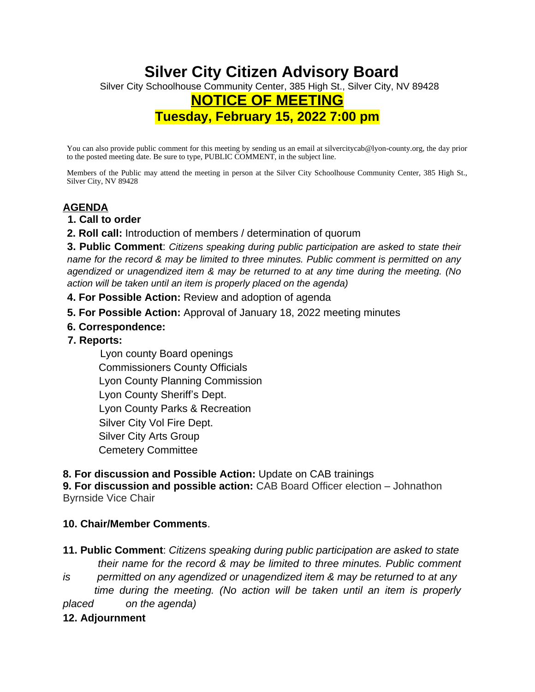# **Silver City Citizen Advisory Board** Silver City Schoolhouse Community Center, 385 High St., Silver City, NV 89428 **NOTICE OF MEETING Tuesday, February 15, 2022 7:00 pm**

You can also provide public comment for this meeting by sending us an email at silvercitycab@lyon-county.org, the day prior to the posted meeting date. Be sure to type, PUBLIC COMMENT, in the subject line.

Members of the Public may attend the meeting in person at the Silver City Schoolhouse Community Center, 385 High St., Silver City, NV 89428

## **AGENDA**

- **1. Call to order**
- **2. Roll call:** Introduction of members / determination of quorum

**3. Public Comment**: *Citizens speaking during public participation are asked to state their name for the record & may be limited to three minutes. Public comment is permitted on any agendized or unagendized item & may be returned to at any time during the meeting. (No action will be taken until an item is properly placed on the agenda)* 

- **4. For Possible Action:** Review and adoption of agenda
- **5. For Possible Action:** Approval of January 18, 2022 meeting minutes
- **6. Correspondence:**
- **7. Reports:**

 Lyon county Board openings Commissioners County Officials Lyon County Planning Commission Lyon County Sheriff's Dept. Lyon County Parks & Recreation Silver City Vol Fire Dept. Silver City Arts Group Cemetery Committee

**8. For discussion and Possible Action:** Update on CAB trainings

**9. For discussion and possible action:** CAB Board Officer election – Johnathon Byrnside Vice Chair

### **10. Chair/Member Comments**.

**11. Public Comment**: *Citizens speaking during public participation are asked to state their name for the record & may be limited to three minutes. Public comment is permitted on any agendized or unagendized item & may be returned to at any* 

*time during the meeting. (No action will be taken until an item is properly placed on the agenda)*

### **12. Adjournment**